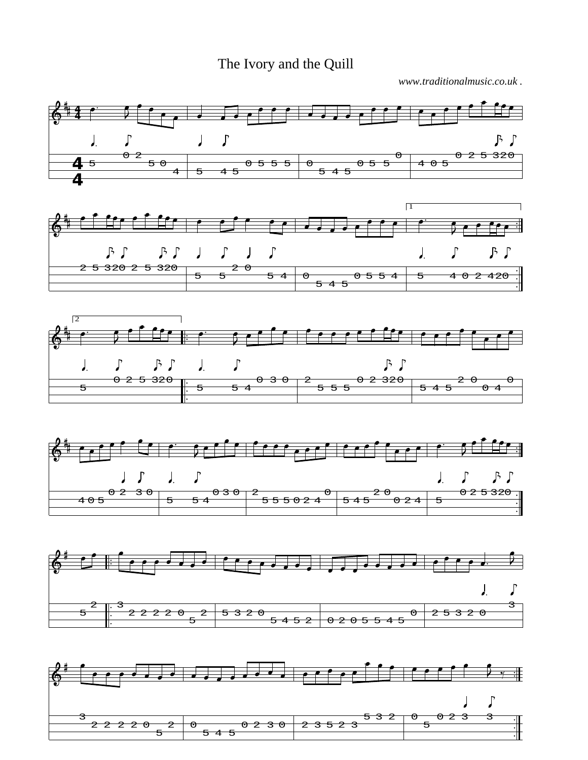The Ivory and the Quill

*www.traditionalmusic.co.uk .*